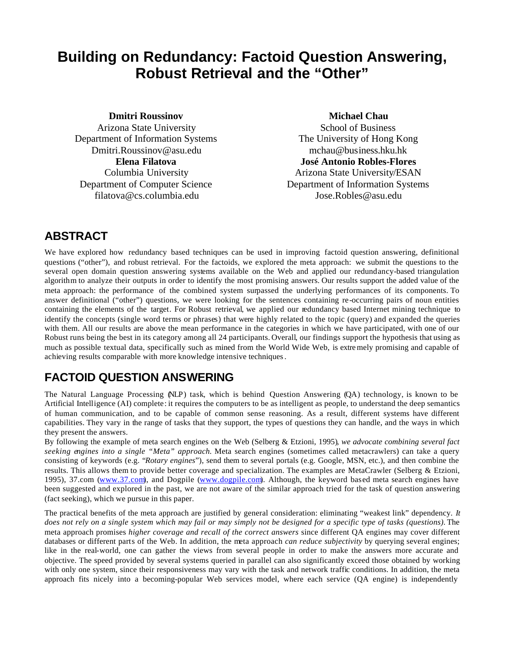# **Building on Redundancy: Factoid Question Answering, Robust Retrieval and the "Other"**

**Dmitri Roussinov**

Arizona State University Department of Information Systems Dmitri.Roussinov@asu.edu **Elena Filatova** Columbia University Department of Computer Science filatova@cs.columbia.edu

#### **Michael Chau**

School of Business The University of Hong Kong mchau@business.hku.hk **José Antonio Robles-Flores** Arizona State University/ESAN Department of Information Systems Jose.Robles@asu.edu

## **ABSTRACT**

We have explored how redundancy based techniques can be used in improving factoid question answering, definitional questions ("other"), and robust retrieval. For the factoids, we explored the meta approach: we submit the questions to the several open domain question answering systems available on the Web and applied our redundancy-based triangulation algorithm to analyze their outputs in order to identify the most promising answers. Our results support the added value of the meta approach: the performance of the combined system surpassed the underlying performances of its components. To answer definitional ("other") questions, we were looking for the sentences containing re-occurring pairs of noun entities containing the elements of the target. For Robust retrieval, we applied our redundancy based Internet mining technique to identify the concepts (single word terms or phrases) that were highly related to the topic (query) and expanded the queries with them. All our results are above the mean performance in the categories in which we have participated, with one of our Robust runs being the best in its category among all 24 participants. Overall, our findings support the hypothesis that using as much as possible textual data, specifically such as mined from the World Wide Web, is extremely promising and capable of achieving results comparable with more knowledge intensive techniques.

# **FACTOID QUESTION ANSWERING**

The Natural Language Processing (NLP) task, which is behind Question Answering (QA) technology, is known to be Artificial Intelligence (AI) complete: it requires the computers to be as intelligent as people, to understand the deep semantics of human communication, and to be capable of common sense reasoning. As a result, different systems have different capabilities. They vary in the range of tasks that they support, the types of questions they can handle, and the ways in which they present the answers.

By following the example of meta search engines on the Web (Selberg & Etzioni, 1995)*, we advocate combining several fact seeking engines into a single "Meta" approach.* Meta search engines (sometimes called metacrawlers) can take a query consisting of keywords (e.g. "*Rotary engines*"), send them to several portals (e.g. Google, MSN, etc.), and then combine the results. This allows them to provide better coverage and specialization. The examples are MetaCrawler (Selberg & Etzioni, 1995), 37.com (www.37.com), and Dogpile (www.dogpile.com). Although, the keyword based meta search engines have been suggested and explored in the past, we are not aware of the similar approach tried for the task of question answering (fact seeking), which we pursue in this paper.

The practical benefits of the meta approach are justified by general consideration: eliminating "weakest link" dependency. *It does not rely on a single system which may fail or may simply not be designed for a specific type of tasks (questions).* The meta approach promises *higher coverage and recall of the correct answers* since different QA engines may cover different databases or different parts of the Web. In addition, the meta approach *can reduce subjectivity* by querying several engines; like in the real-world, one can gather the views from several people in order to make the answers more accurate and objective. The speed provided by several systems queried in parallel can also significantly exceed those obtained by working with only one system, since their responsiveness may vary with the task and network traffic conditions. In addition, the meta approach fits nicely into a becoming-popular Web services model, where each service (QA engine) is independently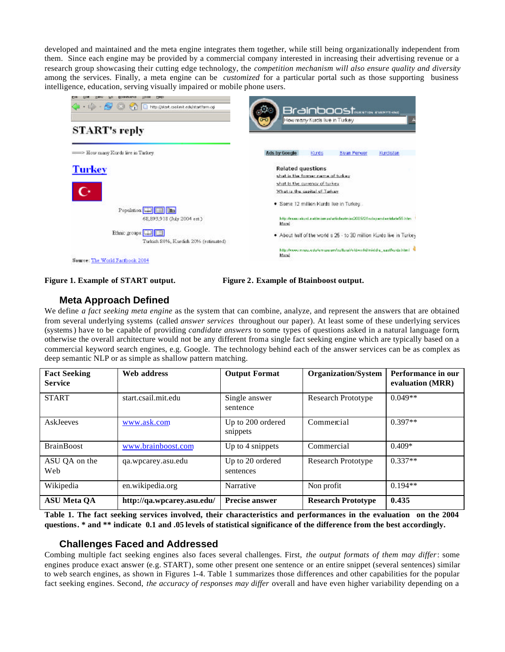developed and maintained and the meta engine integrates them together, while still being organizationally independent from them. Since each engine may be provided by a commercial company interested in increasing their advertising revenue or a research group showcasing their cutting edge technology, the *competition mechanism will also ensure quality and diversity* among the services. Finally, a meta engine can be *customized* for a particular portal such as those supporting business intelligence, education, serving visually impaired or mobile phone users.





#### **Meta Approach Defined**

We define *a fact seeking meta engine* as the system that can combine, analyze, and represent the answers that are obtained from several underlying systems (called *answer services* throughout our paper). At least some of these underlying services (systems) have to be capable of providing *candidate answers* to some types of questions asked in a natural language form, otherwise the overall architecture would not be any different from a single fact seeking engine which are typically based on a commercial keyword search engines, e.g. Google. The technology behind each of the answer services can be as complex as deep semantic NLP or as simple as shallow pattern matching.

| <b>Fact Seeking</b><br><b>Service</b> | Web address                | <b>Output Format</b>          | <b>Organization/System</b> | Performance in our<br>evaluation (MRR) |
|---------------------------------------|----------------------------|-------------------------------|----------------------------|----------------------------------------|
| <b>START</b>                          | start.csail.mit.edu        | Single answer<br>sentence     | <b>Research Prototype</b>  | $0.049**$                              |
| <b>AskJeeves</b>                      | www.ask.com                | Up to 200 ordered<br>snippets | Commercial                 | $0.397**$                              |
| <b>BrainBoost</b>                     | www.brainboost.com         | Up to 4 snippets              | Commercial                 | $0.409*$                               |
| ASU QA on the<br>Web                  | qa.wpcarey.asu.edu         | Up to 20 ordered<br>sentences | <b>Research Prototype</b>  | $0.337**$                              |
| Wikipedia                             | en.wikipedia.org           | Narrative                     | Non profit                 | $0.194**$                              |
| <b>ASU Meta QA</b>                    | http://qa.wpcarey.asu.edu/ | <b>Precise answer</b>         | <b>Research Prototype</b>  | 0.435                                  |

**Table 1. The fact seeking services involved, their characteristics and performances in the evaluation on the 2004 questions. \* and \*\* indicate 0.1 and .05 levels of statistical significance of the difference from the best accordingly.** 

#### **Challenges Faced and Addressed**

Combing multiple fact seeking engines also faces several challenges. First, *the output formats of them may differ*: some engines produce exact answer (e.g. START), some other present one sentence or an entire snippet (several sentences) similar to web search engines, as shown in Figures 1-4. Table 1 summarizes those differences and other capabilities for the popular fact seeking engines. Second, *the accuracy of responses may differ* overall and have even higher variability depending on a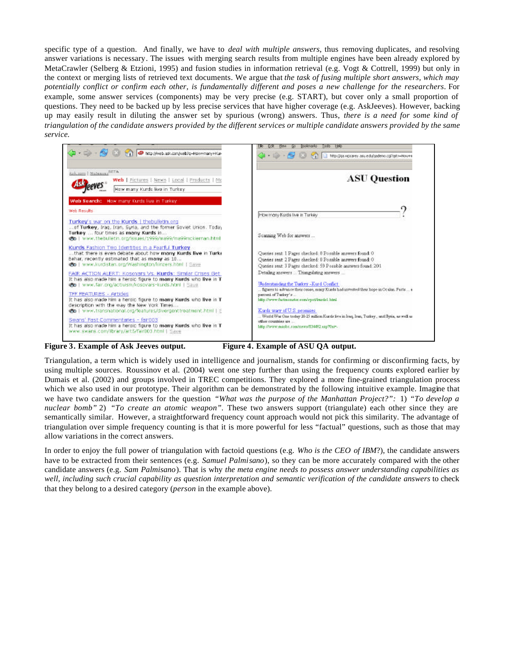specific type of a question. And finally, we have to *deal with multiple answers*, thus removing duplicates, and resolving answer variations is necessary. The issues with merging search results from multiple engines have been already explored by MetaCrawler (Selberg & Etzioni, 1995) and fusion studies in information retrieval (e.g. Vogt & Cottrell, 1999) but only in the context or merging lists of retrieved text documents. We argue that *the task of fusing multiple short answers, which may potentially conflict or confirm each other, is fundamentally different and poses a new challenge for the researchers*. For example, some answer services (components) may be very precise (e.g. START), but cover only a small proportion of questions. They need to be backed up by less precise services that have higher coverage (e.g. AskJeeves). However, backing up may easily result in diluting the answer set by spurious (wrong) answers. Thus, *there is a need for some kind of triangulation of the candidate answers provided by the different services or multiple candidate answers provided by the same service.*



**Figure 3. Example of Ask Jeeves output. Figure 4. Example of ASU QA output.**

Triangulation, a term which is widely used in intelligence and journalism, stands for confirming or disconfirming facts, by using multiple sources. Roussinov et al. (2004) went one step further than using the frequency counts explored earlier by Dumais et al. (2002) and groups involved in TREC competitions. They explored a more fine-grained triangulation process which we also used in our prototype. Their algorithm can be demonstrated by the following intuitive example. Imagine that we have two candidate answers for the question *"What was the purpose of the Manhattan Project?":* 1) *"To develop a nuclear bomb"* 2) *"To create an atomic weapon".* These two answers support (triangulate) each other since they are semantically similar. However, a straightforward frequency count approach would not pick this similarity. The advantage of triangulation over simple frequency counting is that it is more powerful for less "factual" questions, such as those that may allow variations in the correct answers.

In order to enjoy the full power of triangulation with factoid questions (e.g. *Who is the CEO of IBM*?), the candidate answers have to be extracted from their sentences (e.g. *Samuel Palmisano*), so they can be more accurately compared with the other candidate answers (e.g. *Sam Palmisano*). That is why *the meta engine needs to possess answer understanding capabilities as well, including such crucial capability as question interpretation and semantic verification of the candidate answers* to check that they belong to a desired category (*person* in the example above).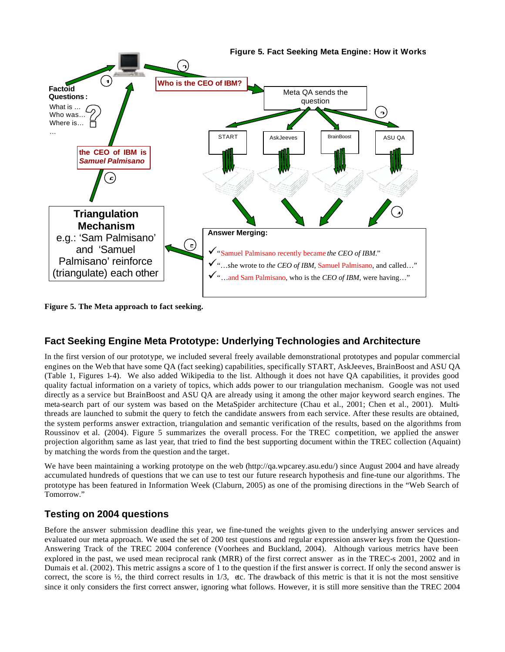

**Figure 5. The Meta approach to fact seeking.**

## **Fact Seeking Engine Meta Prototype: Underlying Technologies and Architecture**

In the first version of our prototype, we included several freely available demonstrational prototypes and popular commercial engines on the Web that have some QA (fact seeking) capabilities, specifically START, AskJeeves, BrainBoost and ASU QA (Table 1, Figures 1-4). We also added Wikipedia to the list. Although it does not have QA capabilities, it provides good quality factual information on a variety of topics, which adds power to our triangulation mechanism. Google was not used directly as a service but BrainBoost and ASU QA are already using it among the other major keyword search engines. The meta-search part of our system was based on the MetaSpider architecture (Chau et al., 2001; Chen et al., 2001). Multithreads are launched to submit the query to fetch the candidate answers from each service. After these results are obtained, the system performs answer extraction, triangulation and semantic verification of the results, based on the algorithms from Roussinov et al. (2004). Figure 5 summarizes the overall process. For the TREC competition, we applied the answer projection algorithm, same as last year, that tried to find the best supporting document within the TREC collection (Aquaint) by matching the words from the question and the target.

We have been maintaining a working prototype on the web (http://qa.wpcarey.asu.edu/) since August 2004 and have already accumulated hundreds of questions that we can use to test our future research hypothesis and fine-tune our algorithms. The prototype has been featured in Information Week (Claburn, 2005) as one of the promising directions in the "Web Search of Tomorrow."

## **Testing on 2004 questions**

Before the answer submission deadline this year, we fine-tuned the weights given to the underlying answer services and evaluated our meta approach. We used the set of 200 test questions and regular expression answer keys from the Question-Answering Track of the TREC 2004 conference (Voorhees and Buckland, 2004). Although various metrics have been explored in the past, we used mean reciprocal rank (MRR) of the first correct answer as in the TREC-s 2001, 2002 and in Dumais et al. (2002). This metric assigns a score of 1 to the question if the first answer is correct. If only the second answer is correct, the score is  $\frac{1}{2}$ , the third correct results in  $1/3$ , etc. The drawback of this metric is that it is not the most sensitive since it only considers the first correct answer, ignoring what follows. However, it is still more sensitive than the TREC 2004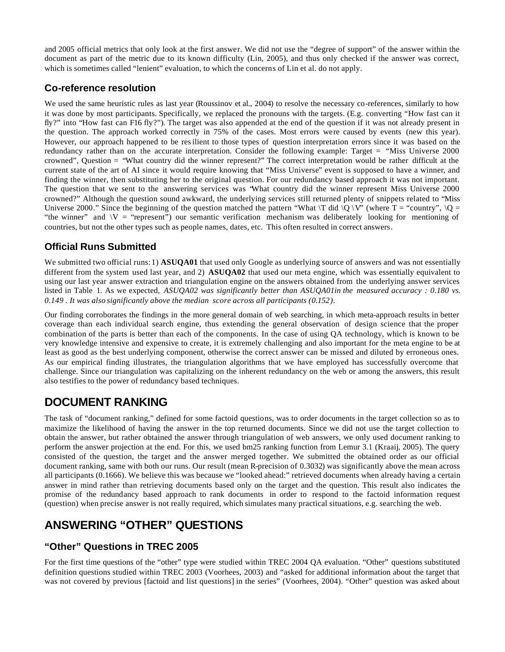and 2005 official metrics that only look at the first answer. We did not use the "degree of support" of the answer within the document as part of the metric due to its known difficulty (Lin, 2005), and thus only checked if the answer was correct, which is sometimes called "lenient" evaluation, to which the concerns of Lin et al. do not apply.

## **Co-reference resolution**

We used the same heuristic rules as last year (Roussinov et al., 2004) to resolve the necessary co-references, similarly to how it was done by most participants. Specifically, we replaced the pronouns with the targets. (E.g. converting "How fast can it fly?" into "How fast can F16 fly?"). The target was also appended at the end of the question if it was not already present in the question. The approach worked correctly in 75% of the cases. Most errors were caused by events (new this year). However, our approach happened to be resilient to those types of question interpretation errors since it was based on the redundancy rather than on the accurate interpretation. Consider the following example: Target = "Miss Universe 2000 crowned", Question = "What country did the winner represent?" The correct interpretation would be rather difficult at the current state of the art of AI since it would require knowing that "Miss Universe" event is supposed to have a winner, and finding the winner, then substituting her to the original question. For our redundancy based approach it was not important. The question that we sent to the answering services was "What country did the winner represent Miss Universe 2000 crowned?" Although the question sound awkward, the underlying services still returned plenty of snippets related to "Miss Universe 2000." Since the beginning of the question matched the pattern "What  $\forall$ T did  $\forall$ Q  $\forall$ " (where T = "country",  $\forall$ Q = "the winner" and \V = "represent") our semantic verification mechanism was deliberately looking for mentioning of countries, but not the other types such as people names, dates, etc. This often resulted in correct answers.

## **Official Runs Submitted**

We submitted two official runs: 1) **ASUQA01** that used only Google as underlying source of answers and was not essentially different from the system used last year, and 2) **ASUQA02** that used our meta engine, which was essentially equivalent to using our last year answer extraction and triangulation engine on the answers obtained from the underlying answer services listed in Table 1. As we expected, *ASUQA02 was significantly better than ASUQA01in the measured accuracy : 0.180 vs. 0.149 . It was also significantly above the median score across all participants (0.152).*

Our finding corroborates the findings in the more general domain of web searching, in which meta-approach results in better coverage than each individual search engine, thus extending the general observation of design science that the proper combination of the parts is better than each of the components. In the case of using QA technology, which is known to be very knowledge intensive and expensive to create, it is extremely challenging and also important for the meta engine to be at least as good as the best underlying component, otherwise the correct answer can be missed and diluted by erroneous ones. As our empirical finding illustrates, the triangulation algorithms that we have employed has successfully overcome that challenge. Since our triangulation was capitalizing on the inherent redundancy on the web or among the answers, this result also testifies to the power of redundancy based techniques.

## **DOCUMENT RANKING**

The task of "document ranking," defined for some factoid questions, was to order documents in the target collection so as to maximize the likelihood of having the answer in the top returned documents. Since we did not use the target collection to obtain the answer, but rather obtained the answer through triangulation of web answers, we only used document ranking to perform the answer projection at the end. For this, we used bm25 ranking function from Lemur 3.1 (Kraaij, 2005). The query consisted of the question, the target and the answer merged together. We submitted the obtained order as our official document ranking, same with both our runs. Our result (mean R-precision of 0.3032) was significantly above the mean across all participants (0.1666). We believe this was because we "looked ahead:" retrieved documents when already having a certain answer in mind rather than retrieving documents based only on the target and the question. This result also indicates the promise of the redundancy based approach to rank documents in order to respond to the factoid information request (question) when precise answer is not really required, which simulates many practical situations, e.g. searching the web.

## **ANSWERING "OTHER" QUESTIONS**

## **"Other" Questions in TREC 2005**

For the first time questions of the "other" type were studied within TREC 2004 QA evaluation. "Other" questions substituted definition questions studied within TREC 2003 (Voorhees, 2003) and "asked for additional information about the target that was not covered by previous [factoid and list questions] in the series" (Voorhees, 2004). "Other" question was asked about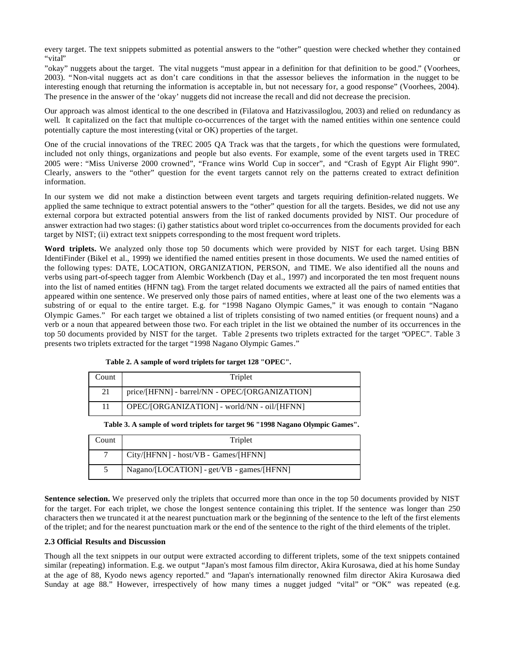every target. The text snippets submitted as potential answers to the "other" question were checked whether they contained "vital" or

"okay" nuggets about the target. The vital nuggets "must appear in a definition for that definition to be good." (Voorhees, 2003). "Non-vital nuggets act as don't care conditions in that the assessor believes the information in the nugget to be interesting enough that returning the information is acceptable in, but not necessary for, a good response" (Voorhees, 2004). The presence in the answer of the 'okay' nuggets did not increase the recall and did not decrease the precision.

Our approach was almost identical to the one described in (Filatova and Hatzivassiloglou, 2003) and relied on redundancy as well. It capitalized on the fact that multiple co-occurrences of the target with the named entities within one sentence could potentially capture the most interesting (vital or OK) properties of the target.

One of the crucial innovations of the TREC 2005 QA Track was that the targets, for which the questions were formulated, included not only things, organizations and people but also events. For example, some of the event targets used in TREC 2005 were : "Miss Universe 2000 crowned", "France wins World Cup in soccer", and "Crash of Egypt Air Flight 990". Clearly, answers to the "other" question for the event targets cannot rely on the patterns created to extract definition information.

In our system we did not make a distinction between event targets and targets requiring definition-related nuggets. We applied the same technique to extract potential answers to the "other" question for all the targets. Besides, we did not use any external corpora but extracted potential answers from the list of ranked documents provided by NIST. Our procedure of answer extraction had two stages: (i) gather statistics about word triplet co-occurrences from the documents provided for each target by NIST; (ii) extract text snippets corresponding to the most frequent word triplets.

**Word triplets.** We analyzed only those top 50 documents which were provided by NIST for each target. Using BBN IdentiFinder (Bikel et al., 1999) we identified the named entities present in those documents. We used the named entities of the following types: DATE, LOCATION, ORGANIZATION, PERSON, and TIME. We also identified all the nouns and verbs using part-of-speech tagger from Alembic Workbench (Day et al., 1997) and incorporated the ten most frequent nouns into the list of named entities (HFNN tag). From the target related documents we extracted all the pairs of named entities that appeared within one sentence. We preserved only those pairs of named entities, where at least one of the two elements was a substring of or equal to the entire target. E.g. for "1998 Nagano Olympic Games," it was enough to contain "Nagano Olympic Games." For each target we obtained a list of triplets consisting of two named entities (or frequent nouns) and a verb or a noun that appeared between those two. For each triplet in the list we obtained the number of its occurrences in the top 50 documents provided by NIST for the target. Table 2 presents two triplets extracted for the target "OPEC". Table 3 presents two triplets extracted for the target "1998 Nagano Olympic Games."

| Count | Triplet                                        |
|-------|------------------------------------------------|
| 21    | price/[HFNN] - barrel/NN - OPEC/[ORGANIZATION] |
|       | OPEC/[ORGANIZATION] - world/NN - oil/[HFNN]    |

**Table 2. A sample of word triplets for target 128 "OPEC".**

**Table 3. A sample of word triplets for target 96 "1998 Nagano Olympic Games".**

| Count | Triplet                                   |
|-------|-------------------------------------------|
| 7     | City/[HFNN] - host/VB - Games/[HFNN]      |
|       | Nagano/[LOCATION] - get/VB - games/[HFNN] |

**Sentence selection.** We preserved only the triplets that occurred more than once in the top 50 documents provided by NIST for the target. For each triplet, we chose the longest sentence containing this triplet. If the sentence was longer than 250 characters then we truncated it at the nearest punctuation mark or the beginning of the sentence to the left of the first elements of the triplet; and for the nearest punctuation mark or the end of the sentence to the right of the third elements of the triplet.

#### **2.3 Official Results and Discussion**

Though all the text snippets in our output were extracted according to different triplets, some of the text snippets contained similar (repeating) information. E.g. we output "Japan's most famous film director, Akira Kurosawa, died at his home Sunday at the age of 88, Kyodo news agency reported." and "Japan's internationally renowned film director Akira Kurosawa died Sunday at age 88." However, irrespectively of how many times a nugget judged "vital" or "OK" was repeated (e.g.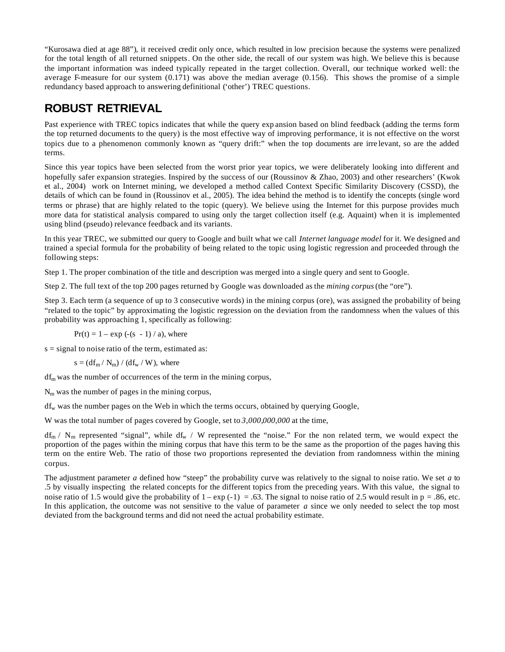"Kurosawa died at age 88"), it received credit only once, which resulted in low precision because the systems were penalized for the total length of all returned snippets. On the other side, the recall of our system was high. We believe this is because the important information was indeed typically repeated in the target collection. Overall, our technique worked well: the average F-measure for our system  $(0.171)$  was above the median average  $(0.156)$ . This shows the promise of a simple redundancy based approach to answering definitional ('other') TREC questions.

# **ROBUST RETRIEVAL**

Past experience with TREC topics indicates that while the query exp ansion based on blind feedback (adding the terms form the top returned documents to the query) is the most effective way of improving performance, it is not effective on the worst topics due to a phenomenon commonly known as "query drift:" when the top documents are irre levant, so are the added terms.

Since this year topics have been selected from the worst prior year topics, we were deliberately looking into different and hopefully safer expansion strategies. Inspired by the success of our (Roussinov & Zhao, 2003) and other researchers' (Kwok et al., 2004) work on Internet mining, we developed a method called Context Specific Similarity Discovery (CSSD), the details of which can be found in (Roussinov et al., 2005). The idea behind the method is to identify the concepts (single word terms or phrase) that are highly related to the topic (query). We believe using the Internet for this purpose provides much more data for statistical analysis compared to using only the target collection itself (e.g. Aquaint) when it is implemented using blind (pseudo) relevance feedback and its variants.

In this year TREC, we submitted our query to Google and built what we call *Internet language model* for it. We designed and trained a special formula for the probability of being related to the topic using logistic regression and proceeded through the following steps:

Step 1. The proper combination of the title and description was merged into a single query and sent to Google.

Step 2. The full text of the top 200 pages returned by Google was downloaded as the *mining corpus* (the "ore").

Step 3. Each term (a sequence of up to 3 consecutive words) in the mining corpus (ore), was assigned the probability of being "related to the topic" by approximating the logistic regression on the deviation from the randomness when the values of this probability was approaching 1, specifically as following:

 $Pr(t) = 1 - exp(-s - 1)/a$ , where

 $s =$  signal to noise ratio of the term, estimated as:

 $s = (df_m / N_m) / (df_w / W)$ , where

 $df<sub>m</sub>$  was the number of occurrences of the term in the mining corpus,

 $N<sub>m</sub>$  was the number of pages in the mining corpus,

 $df_w$  was the number pages on the Web in which the terms occurs, obtained by querying Google,

W was the total number of pages covered by Google, set to *3,000,000,000* at the time,

 $df_m / N_m$  represented "signal", while  $df_w / W$  represented the "noise." For the non related term, we would expect the proportion of the pages within the mining corpus that have this term to be the same as the proportion of the pages having this term on the entire Web. The ratio of those two proportions represented the deviation from randomness within the mining corpus.

The adjustment parameter *a* defined how "steep" the probability curve was relatively to the signal to noise ratio. We set *a* to .5 by visually inspecting the related concepts for the different topics from the preceding years. With this value, the signal to noise ratio of 1.5 would give the probability of  $1 - \exp(-1) = .63$ . The signal to noise ratio of 2.5 would result in p = .86, etc. In this application, the outcome was not sensitive to the value of parameter *a* since we only needed to select the top most deviated from the background terms and did not need the actual probability estimate.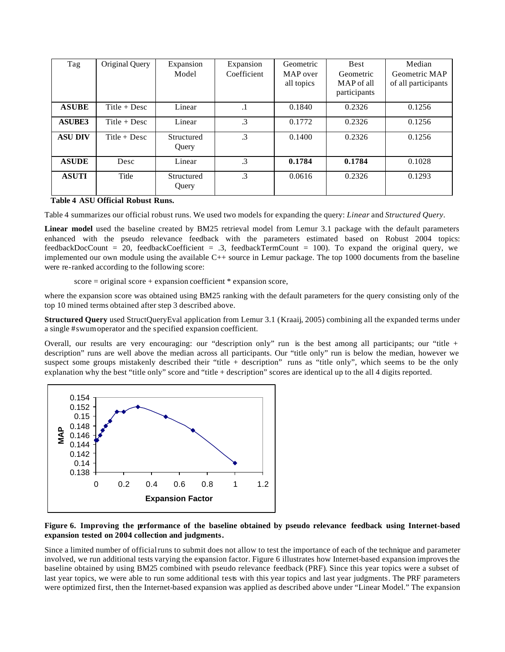| Tag            | Original Query | Expansion<br>Model  | Expansion<br>Coefficient | Geometric<br>MAP over<br>all topics | <b>Best</b><br>Geometric<br>MAP of all<br>participants | Median<br>Geometric MAP<br>of all participants |
|----------------|----------------|---------------------|--------------------------|-------------------------------------|--------------------------------------------------------|------------------------------------------------|
| <b>ASUBE</b>   | Title $+$ Desc | Linear              | $\cdot$                  | 0.1840                              | 0.2326                                                 | 0.1256                                         |
| <b>ASUBE3</b>  | Title $+$ Desc | Linear              | $\mathcal{A}$            | 0.1772                              | 0.2326                                                 | 0.1256                                         |
| <b>ASU DIV</b> | $Title + Desc$ | Structured<br>Query | $\cdot$ 3                | 0.1400                              | 0.2326                                                 | 0.1256                                         |
| <b>ASUDE</b>   | Desc           | Linear              | $\cdot$ 3                | 0.1784                              | 0.1784                                                 | 0.1028                                         |
| <b>ASUTI</b>   | Title          | Structured<br>Query | $\cdot$ 3                | 0.0616                              | 0.2326                                                 | 0.1293                                         |

 **Table 4 ASU Official Robust Runs.**

Table 4 summarizes our official robust runs. We used two models for expanding the query: *Linear* and *Structured Query*.

**Linear model** used the baseline created by BM25 retrieval model from Lemur 3.1 package with the default parameters enhanced with the pseudo relevance feedback with the parameters estimated based on Robust 2004 topics: feedbackDocCount = 20, feedbackCoefficient = .3, feedbackTermCount = 100). To expand the original query, we implemented our own module using the available C++ source in Lemur package. The top 1000 documents from the baseline were re-ranked according to the following score:

score = original score + expansion coefficient \* expansion score,

where the expansion score was obtained using BM25 ranking with the default parameters for the query consisting only of the top 10 mined terms obtained after step 3 described above.

**Structured Query** used StructQueryEval application from Lemur 3.1 (Kraaij, 2005) combining all the expanded terms under a single #swum operator and the specified expansion coefficient.

Overall, our results are very encouraging: our "description only" run is the best among all participants; our "title + description" runs are well above the median across all participants. Our "title only" run is below the median, however we suspect some groups mistakenly described their "title + description" runs as "title only", which seems to be the only explanation why the best "title only" score and "title + description" scores are identical up to the all 4 digits reported.



#### **Figure 6. Improving the performance of the baseline obtained by pseudo relevance feedback using Internet-based expansion tested on 2004 collection and judgments.**

Since a limited number of official runs to submit does not allow to test the importance of each of the technique and parameter involved, we run additional tests varying the expansion factor. Figure 6 illustrates how Internet-based expansion improves the baseline obtained by using BM25 combined with pseudo relevance feedback (PRF). Since this year topics were a subset of last year topics, we were able to run some additional tests with this year topics and last year judgments. The PRF parameters were optimized first, then the Internet-based expansion was applied as described above under "Linear Model." The expansion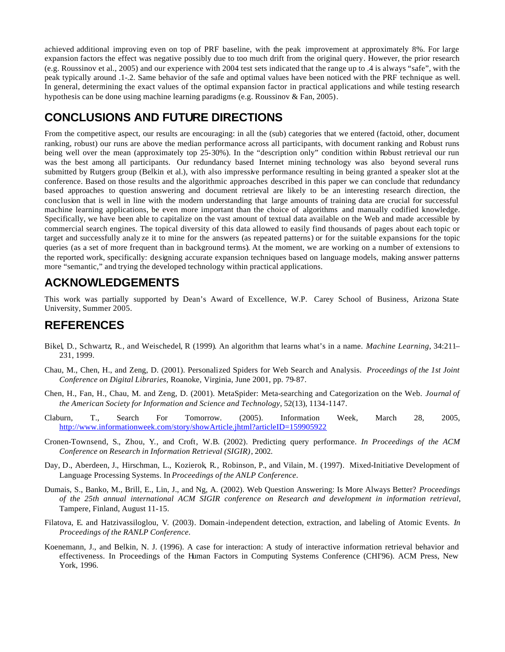achieved additional improving even on top of PRF baseline, with the peak improvement at approximately 8%. For large expansion factors the effect was negative possibly due to too much drift from the original query. However, the prior research (e.g. Roussinov et al., 2005) and our experience with 2004 test sets indicated that the range up to .4 is always "safe", with the peak typically around .1-.2. Same behavior of the safe and optimal values have been noticed with the PRF technique as well. In general, determining the exact values of the optimal expansion factor in practical applications and while testing research hypothesis can be done using machine learning paradigms (e.g. Roussinov & Fan, 2005).

## **CONCLUSIONS AND FUTURE DIRECTIONS**

From the competitive aspect, our results are encouraging: in all the (sub) categories that we entered (factoid, other, document ranking, robust) our runs are above the median performance across all participants, with document ranking and Robust runs being well over the mean (approximately top 25-30%). In the "description only" condition within Robust retrieval our run was the best among all participants. Our redundancy based Internet mining technology was also beyond several runs submitted by Rutgers group (Belkin et al.), with also impressive performance resulting in being granted a speaker slot at the conference. Based on those results and the algorithmic approaches described in this paper we can conclude that redundancy based approaches to question answering and document retrieval are likely to be an interesting research direction, the conclusion that is well in line with the modern understanding that large amounts of training data are crucial for successful machine learning applications, be even more important than the choice of algorithms and manually codified knowledge. Specifically, we have been able to capitalize on the vast amount of textual data available on the Web and made accessible by commercial search engines. The topical diversity of this data allowed to easily find thousands of pages about each topic or target and successfully analy ze it to mine for the answers (as repeated patterns) or for the suitable expansions for the topic queries (as a set of more frequent than in background terms). At the moment, we are working on a number of extensions to the reported work, specifically: designing accurate expansion techniques based on language models, making answer patterns more "semantic," and trying the developed technology within practical applications.

## **ACKNOWLEDGEMENTS**

This work was partially supported by Dean's Award of Excellence, W.P. Carey School of Business, Arizona State University, Summer 2005.

## **REFERENCES**

- Bikel, D., Schwartz, R., and Weischedel, R (1999). An algorithm that learns what's in a name. *Machine Learning*, 34:211– 231, 1999.
- Chau, M., Chen, H., and Zeng, D. (2001). Personalized Spiders for Web Search and Analysis. *Proceedings of the 1st Joint Conference on Digital Libraries*, Roanoke, Virginia, June 2001, pp. 79-87.
- Chen, H., Fan, H., Chau, M. and Zeng, D. (2001). MetaSpider: Meta-searching and Categorization on the Web. *Journal of the American Society for Information and Science and Technology*, 52(13), 1134-1147.
- Claburn, T., Search For Tomorrow. (2005). Information Week, March 28, 2005, http://www.informationweek.com/story/showArticle.jhtml?articleID=159905922
- Cronen-Townsend, S., Zhou, Y., and Croft, W.B. (2002). Predicting query performance. *In Proceedings of the ACM Conference on Research in Information Retrieval (SIGIR)*, 2002.
- Day, D., Aberdeen, J., Hirschman, L., Kozierok, R., Robinson, P., and Vilain, M. (1997). Mixed-Initiative Development of Language Processing Systems. In *Proceedings of the ANLP Conference*.
- Dumais, S., Banko, M., Brill, E., Lin, J., and Ng, A. (2002). Web Question Answering: Is More Always Better? *Proceedings of the 25th annual international ACM SIGIR conference on Research and development in information retrieval*, Tampere, Finland, August 11-15.
- Filatova, E. and Hatzivassiloglou, V. (2003). Domain -independent detection, extraction, and labeling of Atomic Events. *In Proceedings of the RANLP Conference*.
- Koenemann, J., and Belkin, N. J. (1996). A case for interaction: A study of interactive information retrieval behavior and effectiveness. In Proceedings of the Human Factors in Computing Systems Conference (CHI'96). ACM Press, New York, 1996.